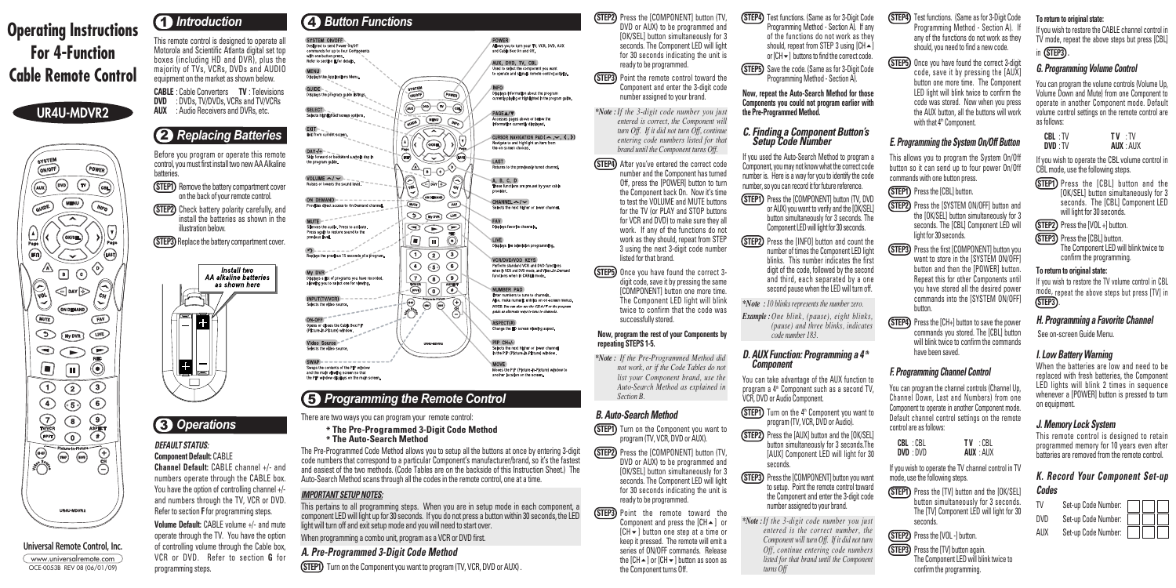# 5 *Programming the Remote Control*

There are two ways you can program your remote control:

- $*$  The Pre-Programmed 3-Digit Code Method
- **\* The Auto-Search Method**

The Pre-Programmed Code Method allows you to setup all the buttons at once by entering 3-digit code numbers that correspond to a particular Component's manufacturer/brand, so it's the fastest and easiest of the two methods. (Code Tables are on the backside of this Instruction Sheet.) The Auto-Search Method scans through all the codes in the remote control, one at a time.

#### *IMPORTANT SETUP NOTES:*

**(STEP2)** Press the **[COMPONENT]** button (TV) DVD or AUX) to be programmed and [OK/SEL] button simultaneously for 3 seconds. The Component LED will light for 30 seconds indicating the unit is ready to be programmed.

POWER<br>Allows you to turn your TV, VCR, DVD, AUX<br>and Cable Box On and Off.

Displays information about the program<br>currently playing or highlighted in the program guide

CURSOR NAVIGATION PAD ( $\sim, \sim, \langle , \rangle$ )<br>Navigate to and highlight an item from<br>the on-screen choices.

ACCESSES pages above or below the<br>information currently displayed.

Returns to the previously tuned channe

These functions are pre-set by your cable

 $CHANNEL \leftarrow / \leftarrow$ <br>Selects the next higher or lower channe

VCR/DVD/VOD KEYS<br>Perform standard VCR and DVD functions<br>when in VCR and DVD mode, and Video-On-Der<br>functions when in CABLE mode.

Enter numbers to tune to channels.<br>Also, make numeric entries on on-screen menu

NOTE: You can also use the CH A/V or the program uide as alternate ways to tune to channel

Change the HD screen viewing aspect.

Selects the next higher or lower channel<br>in the PIP (Picture-in-Picture) window.

Moves the PIP (Picture-in-Picture) window to<br>another location on the screen.

Displays favorite channels

NUMBER PAD

ASPECT(#)

PIP CH+/-

AUX, DVD, TV, CBL Used to select the component you want<br>to operate and signals remote control activity.

PAGE **A/**▼

A. B. C. D

 $\overline{POWER}$ 

 $\overline{\mathcal{P}(\mathcal{Q})}$ 

 $\circled{N}$ 

 $\bigcirc$ 

∪

 $\circled{fAN}$ 

 $\ddot{\odot}$ 

 $\widehat{\bigoplus}$ 

**(STEP3)** Point the remote control toward the

This pertains to all programming steps. When you are in setup mode in each component, a component LED will light up for 30 seconds. If you do not press a button within 30 seconds, the LED light will turn off and exit setup mode and you will need to start over.

When programming a combo unit, program as a VCR or DVD first.

# *A. Pre-Programmed 3-Digit Code Method*

**(STEP1)** Turn on the Component you want to program (TV, VCR, DVD or AUX).

**(STEP4)** After you've entered the correct code number and the Component has turned Off, press the [POWER] button to turn the Component back On. Now it's time to test the VOLUME and MUTE buttons for the TV (or PLAY and STOP buttons for VCR and DVD) to make sure they all work. If any of the functions do not work as they should, repeat from STEP 3 using the next 3-digit code number listed for that brand.

**STEP5** Once you have found the correct 3digit code, save it by pressing the same [COMPONENT] button one more time. The Component LED light will blink twice to confirm that the code was successfully stored.

**(STEP1)** Turn on the Component you want to program (TV, VCR, DVD or AUX).

Component and enter the 3-digit code number assigned to your brand.

**STEP2** Press the **[COMPONENT]** button (TV, DVD or AUX) to be programmed and [OK/SEL] button simultaneously for 3 seconds. The Component LED will light for 30 seconds indicating the unit is ready to be programmed.

*\*Note : If the 3-digit code number you just entered is correct, the Component will turn Off. If it did not turn Off, continue entering code numbers listed for that brand until the Component turns Off.* 

**(STEP3)** Point the remote toward the Component and press the  $[CH \triangle 1$  or [CH-] button one step at a time or keep it pressed. The remote will emit a series of ON/OFF commands. Release the [CH ▲ ] or [CH <del>v</del> ] button as soon as the Component turns Off.

**(STEP4)** Test functions. (Same as for 3-Digit Code Programming Method - Section A). If any of the functions do not work as they should, repeat from STEP 3 using  $[CH \triangle]$ 

**(STEP5)** Save the code. (Same as for 3-Digit Code Programming Method - Section A).

- **(STEP1)** Press the [COMPONENT] button (TV, DVD or AUX) you want to verify and the [OK/SEL] button simultaneously for 3 seconds. The Component LED will light for 30 seconds.
- **(STEP2)** Press the [INFO] button and count the number of times the Component LED light blinks. This number indicates the first digit of the code, followed by the second and third, each separated by a one second pause when the LED will turn off.

#### **Now, program the rest of your Components by repeating STEPS 1-5.**

*\*Note : If the Pre-Programmed Method did not work, or if the Code Tables do not list your Component brand, use the Auto-Search Method as explained in Section B.*

# *B. Auto-Search Method*

- **(STEP1)** Turn on the 4<sup>th</sup> Component you want to program (TV, VCR, DVD or Audio).
- **(STEP2)** Press the [AUX] button and the [OK/SEL] button simultaneously for 3 seconds.The [AUX] Component LED will light for 30 seconds.
- **(STEP3)** Press the **[COMPONENT]** button you want to setup. Point the remote control toward the Component and enter the 3-digit code number assigned to your brand.
- *\*Note : If the 3-digit code number you just entered is the correct number, the Component will turn Off. If it did not turn Off, continue entering code numbers listed for that brand until the Component turns Off*

or  $[CH -]$  buttons to find the correct code.

**(STEP4)** Test functions. (Same as for 3-Digit Code Programming Method - Section A). If any of the functions do not work as they should, you need to find a new code.

**(STEP5)** Once you have found the correct 3-digit code, save it by pressing the [AUX] button one more time. The Component LED light will blink twice to confirm the code was stored. Now when you press the AUX button, all the buttons will work with that 4<sup>th</sup> Component.

This allows you to program the System On/Off button so it can send up to four power On/Off commands with one button press.

**(STEP1)** Press the [CBL] button.

**(STEP3)** Press the first [COMPONENT] button you want to store in the [SYSTEM ON/OFF] button and then the [POWER] button. Repeat this for other Components until you have stored all the desired power commands into the [SYSTEM ON/OFF] button.

**(STEP4)** Press the [CH+] button to save the power commands you stored. The [CBL] button will blink twice to confirm the commands have been saved.

**STEP1** Press the [TV] button and the [OK/SEL] button simultaneously for 3 seconds. The [TV] Component LED will light for 30 seconds.

**Now, repeat the Auto-Search Method for those Components you could not program earlier with the Pre-Programmed Method.**

**(STEP2)** Press the [VOL -] button.



**(STEP3)** Press the ITVI button again. The Component LED will blink twice to confirm the programming.

# *C. Finding a Component Button's Setup Code Number*

If you used the Auto-Search Method to program a Component, you may not know what the correct code number is. Here is a way for you to identify the code number, so you can record it for future reference.

**CABLE** : Cable Converters **TV** : Televisions<br>**DVD** : DVDs TV/DVDs VCBs and TV/VCBs **DVD** : DVDs, TV/DVDs, VCRs and TV/VCRs **AUX** : Audio Receivers and DVRs, etc.

> *\*Note : 10 blinks represents the number zero. Example : One blink, (pause), eight blinks,*

*(pause) and three blinks, indicates code number 183.*

#### *D. AUX Function: Programming a 4 th Component*

You can take advantage of the AUX function to program a  $4<sup>th</sup>$  Component such as a second TV. VCR, DVD or Audio Component.

**(STEP1)** Press the [CBL] button and the [OK/SEL] button simultaneously for 3 seconds. The [CBL] Component LED will light for 30 seconds.

**(STEP2)** Press the [VOL +] button.

**(STEP3)** Press the [CBL] button.

### *E. Programming the System On/Off Button*



the [OK/SEL] button simultaneously for 3 seconds. The [CBL] Component LED will light for 30 seconds.

# *F. Programming Channel Control*

You can program the channel controls (Channel Up, Channel Down, Last and Numbers) from one Component to operate in another Component mode. Default channel control settings on the remote control are as follows:

| <b>CBL</b> : CBL | TV : CBL         |
|------------------|------------------|
| DVD: DVD         | <b>AUX</b> : AUX |

If you wish to operate the TV channel control in TV mode, use the following steps.

#### **Universal Remote Control, Inc.** www.universalremote.com OCE-0053B REV 08 (06/01/09)

# **4** *Introduction*

# **UR4U-MDVR2**



# **Operating Instructions For 4-Function Cable Remote Control**

This remote control is designed to operate all Motorola and Scientific Atlanta digital set top boxes (including HD and DVR), plus the majority of TVs, VCRs, DVDs and AUDIO equipment on the market as shown below.

#### *DEFAULT STATUS:*

**Component Default:** CABLE **Channel Default:** CABLE channel +/- and numbers operate through the CABLE box. You have the option of controlling channel +/ and numbers through the TV, VCR or DVD. Refer to section **F** for programming steps.

**Volume Default:** CABLE volume +/- and mute operate through the TV. You have the option of controlling volume through the Cable box, VCR or DVD. Refer to section **G** for programming steps.

4 *Button Functions* SYSTEM ON/OFF<br>Designed to send Power On/Off<br>commands for up to four Components<br>with one button press.<br>Refer to section E for details. **MENU**<br>Displays the Applications Men SYSTEM<br>
(NIOFF) **GUIDE**<br>Displays the program guide listings SELECT<br>Selects highlighted screen options. **GURDE MENU EXIT**<br>Exit from current screen.  $\frac{1}{2}$ DAY-/+<br>Skip forward or backward a whole day in  $A = 0$ B VOLUME ~/ ~  $\bigodot$ DÀY $\bigcirc$  $\noindent($   $\noindent($   $\noindent($   $\noindent($   $\noindent($   $\noindent($   $\noindent($   $\noindent($   $\noindent($   $\noindent($   $\noindent($   $\noindent($   $\noindent($   $\noindent($   $\noindent($   $\noindent($   $\noindent($   $\noindent($   $\noindent($   $\noindent($   $\noindent($   $\noindent($   $\noindent($   $\noindent($   $\noindent($   $\noindent($   $\noindent($  ON DEMAND --------- $\overline{\text{MUPE}}$ des direct access to On Demand channel.  $\odot$  (in  $\odot$ Silences the audio. Press to activate.<br>Press again to restore sound to the<br>previous level.  $\circledcirc$  $\Box$ Replays the previous 15 seconds of a program.  $\circledcirc$   $\circledcirc$  $\circledcirc$   $\circledcirc$ My DVR  $\underbrace{\begin{array}{c}\n\hline\n\text{IVCG} \\
\hline\n\text{IVCG} \\
\hline\n\end{array}}_{\text{O}}\underbrace{\begin{array}{c}\n\hline\n\text{O} \\
\hline\n\text{O} \\
\hline\n\end{array}}_{\text{ABHST}}$ Displays a list of programs you have recorded,<br>allowing you to select one for viewing. INPUT(TV/VCR)  $\sum_{i=1}^{n}$  $\overline{(\omega)}$ ON-OFF ON-OTT<br>Opens or closes the Cable Box PIP<br>(Picture-in-Picture) window. Video Source Selects the video source  $SWAP$  - - - - - - - - - - - - - -Swaps the contents of the PIP window<br>and the main viewing screen so that<br>the PIP window displays on the main screen

# 3 *Operations*

# 2 *Replacing Batteries*

Before you program or operate this remote control, you must first install two new AA Alkaline batteries.

- **(STEP1)** Remove the battery compartment cover on the back of your remote control.
- **(STEP2)** Check battery polarity carefully, and install the batteries as shown in the illustration below.
- **(STEP3)** Replace the battery compartment cover.



#### **To return to original state:**

If you wish to restore the CABLE channel control in TV mode, repeat the above steps but press [CBL]

#### in **STEP3 .**

# *G. Programming Volume Control*

You can program the volume controls (Volume Up, Volume Down and Mute) from one Component to operate in another Component mode. Default volume control settings on the remote control are as follows:

| CBL : TV | TV : TV |                  |
|----------|---------|------------------|
| DVD : TV |         | <b>AUX</b> : AUX |

If you wish to operate the CBL volume control in CBL mode, use the following steps.

> The Component LED will blink twice to confirm the programming.

#### **To return to original state:**

If you wish to restore the TV volume control in CBL mode, repeat the above steps but press [TV] in **STEP3** .

# *H. Programming a Favorite Channel*

See on-screen Guide Menu.

# *I. Low Battery Warning*

When the batteries are low and need to be replaced with fresh batteries, the Component LED lights will blink 2 times in sequence whenever a [POWER] button is pressed to turn on equipment.

# *J. Memory Lock System*

This remote control is designed to retain programmed memory for 10 years even after batteries are removed from the remote control.

# *K. Record Your Component Set-up Codes*

| TV  | Set-up Code Number: |  |
|-----|---------------------|--|
| חעם | Set-up Code Number: |  |
| AUX | Set-up Code Number: |  |